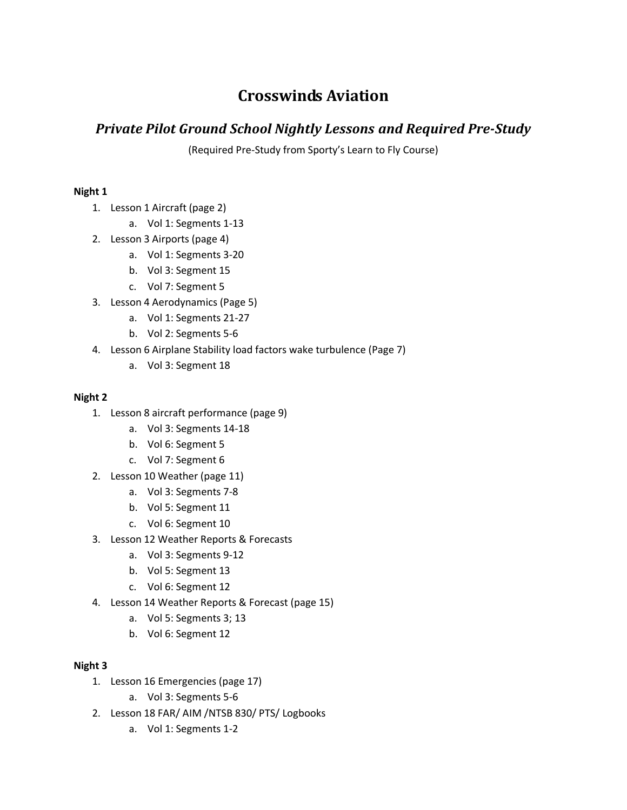# **Crosswinds Aviation**

# *Private Pilot Ground School Nightly Lessons and Required Pre-Study*

(Required Pre-Study from Sporty's Learn to Fly Course)

## **Night 1**

- 1. Lesson 1 Aircraft (page 2)
	- a. Vol 1: Segments 1-13
- 2. Lesson 3 Airports (page 4)
	- a. Vol 1: Segments 3-20
	- b. Vol 3: Segment 15
	- c. Vol 7: Segment 5
- 3. Lesson 4 Aerodynamics (Page 5)
	- a. Vol 1: Segments 21-27
	- b. Vol 2: Segments 5-6
- 4. Lesson 6 Airplane Stability load factors wake turbulence (Page 7)
	- a. Vol 3: Segment 18

### **Night 2**

- 1. Lesson 8 aircraft performance (page 9)
	- a. Vol 3: Segments 14-18
	- b. Vol 6: Segment 5
	- c. Vol 7: Segment 6
- 2. Lesson 10 Weather (page 11)
	- a. Vol 3: Segments 7-8
	- b. Vol 5: Segment 11
	- c. Vol 6: Segment 10
- 3. Lesson 12 Weather Reports & Forecasts
	- a. Vol 3: Segments 9-12
	- b. Vol 5: Segment 13
	- c. Vol 6: Segment 12
- 4. Lesson 14 Weather Reports & Forecast (page 15)
	- a. Vol 5: Segments 3; 13
	- b. Vol 6: Segment 12

### **Night 3**

- 1. Lesson 16 Emergencies (page 17)
	- a. Vol 3: Segments 5-6
- 2. Lesson 18 FAR/ AIM /NTSB 830/ PTS/ Logbooks
	- a. Vol 1: Segments 1-2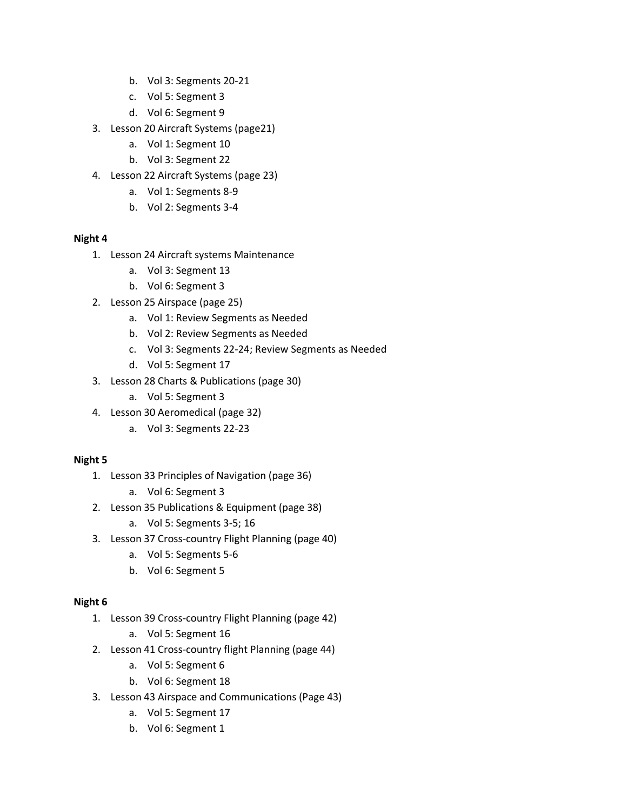- b. Vol 3: Segments 20-21
- c. Vol 5: Segment 3
- d. Vol 6: Segment 9
- 3. Lesson 20 Aircraft Systems (page21)
	- a. Vol 1: Segment 10
	- b. Vol 3: Segment 22
- 4. Lesson 22 Aircraft Systems (page 23)
	- a. Vol 1: Segments 8-9
	- b. Vol 2: Segments 3-4

#### **Night 4**

- 1. Lesson 24 Aircraft systems Maintenance
	- a. Vol 3: Segment 13
	- b. Vol 6: Segment 3
- 2. Lesson 25 Airspace (page 25)
	- a. Vol 1: Review Segments as Needed
	- b. Vol 2: Review Segments as Needed
	- c. Vol 3: Segments 22-24; Review Segments as Needed
	- d. Vol 5: Segment 17
- 3. Lesson 28 Charts & Publications (page 30)
	- a. Vol 5: Segment 3
- 4. Lesson 30 Aeromedical (page 32)
	- a. Vol 3: Segments 22-23

### **Night 5**

- 1. Lesson 33 Principles of Navigation (page 36)
	- a. Vol 6: Segment 3
- 2. Lesson 35 Publications & Equipment (page 38)
	- a. Vol 5: Segments 3-5; 16
- 3. Lesson 37 Cross-country Flight Planning (page 40)
	- a. Vol 5: Segments 5-6
	- b. Vol 6: Segment 5

### **Night 6**

- 1. Lesson 39 Cross-country Flight Planning (page 42)
	- a. Vol 5: Segment 16
- 2. Lesson 41 Cross-country flight Planning (page 44)
	- a. Vol 5: Segment 6
	- b. Vol 6: Segment 18
- 3. Lesson 43 Airspace and Communications (Page 43)
	- a. Vol 5: Segment 17
	- b. Vol 6: Segment 1